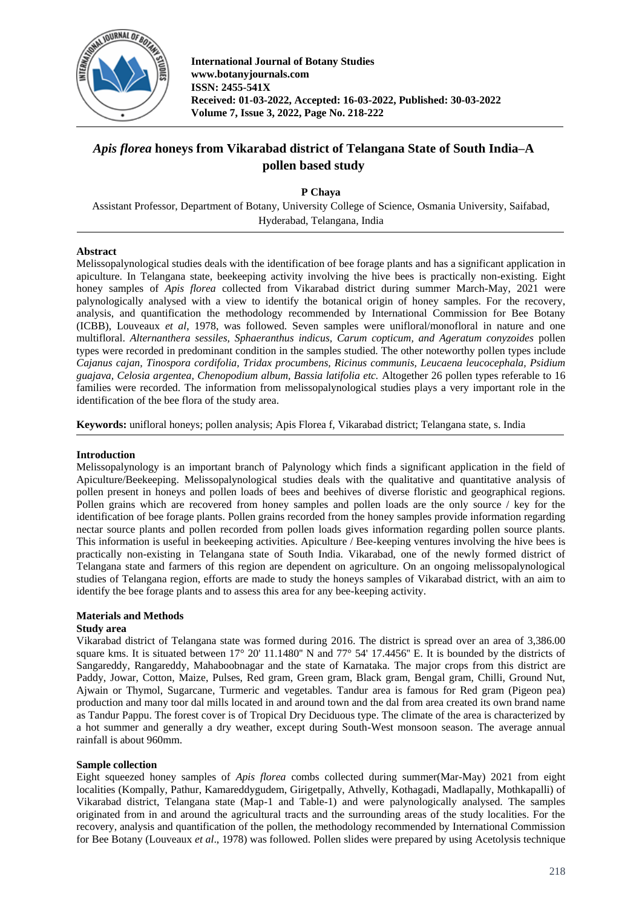

**International Journal of Botany Studies www.botanyjournals.com ISSN: 2455-541X Received: 01-03-2022, Accepted: 16-03-2022, Published: 30-03-2022 Volume 7, Issue 3, 2022, Page No. 218-222**

# *Apis florea* **honeys from Vikarabad district of Telangana State of South India–A pollen based study**

**P Chaya**

Assistant Professor, Department of Botany, University College of Science, Osmania University, Saifabad, Hyderabad, Telangana, India

## **Abstract**

Melissopalynological studies deals with the identification of bee forage plants and has a significant application in apiculture. In Telangana state, beekeeping activity involving the hive bees is practically non-existing. Eight honey samples of *Apis florea* collected from Vikarabad district during summer March-May, 2021 were palynologically analysed with a view to identify the botanical origin of honey samples. For the recovery, analysis, and quantification the methodology recommended by International Commission for Bee Botany (ICBB), Louveaux *et al*, 1978, was followed. Seven samples were unifloral/monofloral in nature and one multifloral. *Alternanthera sessiles, Sphaeranthus indicus, Carum copticum, and Ageratum conyzoides* pollen types were recorded in predominant condition in the samples studied. The other noteworthy pollen types include *Cajanus cajan, Tinospora cordifolia, Tridax procumbens, Ricinus communis, Leucaena leucocephala, Psidium guajava, Celosia argentea, Chenopodium album, Bassia latifolia etc.* Altogether 26 pollen types referable to 16 families were recorded. The information from melissopalynological studies plays a very important role in the identification of the bee flora of the study area.

**Keywords:** unifloral honeys; pollen analysis; Apis Florea f, Vikarabad district; Telangana state, s. India

## **Introduction**

Melissopalynology is an important branch of Palynology which finds a significant application in the field of Apiculture/Beekeeping. Melissopalynological studies deals with the qualitative and quantitative analysis of pollen present in honeys and pollen loads of bees and beehives of diverse floristic and geographical regions. Pollen grains which are recovered from honey samples and pollen loads are the only source / key for the identification of bee forage plants. Pollen grains recorded from the honey samples provide information regarding nectar source plants and pollen recorded from pollen loads gives information regarding pollen source plants. This information is useful in beekeeping activities. Apiculture / Bee-keeping ventures involving the hive bees is practically non-existing in Telangana state of South India. Vikarabad, one of the newly formed district of Telangana state and farmers of this region are dependent on agriculture. On an ongoing melissopalynological studies of Telangana region, efforts are made to study the honeys samples of Vikarabad district, with an aim to identify the bee forage plants and to assess this area for any bee-keeping activity.

## **Materials and Methods**

#### **Study area**

Vikarabad district of Telangana state was formed during 2016. The district is spread over an area of 3,386.00 square kms. It is situated between 17° 20' 11.1480" N and 77° 54' 17.4456" E. It is bounded by the districts of Sangareddy, Rangareddy, Mahaboobnagar and the state of Karnataka. The major crops from this district are Paddy, Jowar, Cotton, Maize, Pulses, Red gram, Green gram, Black gram, Bengal gram, Chilli, Ground Nut, Ajwain or Thymol, Sugarcane, Turmeric and vegetables. Tandur area is famous for Red gram (Pigeon pea) production and many toor dal mills located in and around town and the dal from area created its own brand name as Tandur Pappu. The forest cover is of Tropical Dry Deciduous type. The climate of the area is characterized by a hot summer and generally a dry weather, except during South-West monsoon season. The average annual rainfall is about 960mm.

## **Sample collection**

Eight squeezed honey samples of *Apis florea* combs collected during summer(Mar-May) 2021 from eight localities (Kompally, Pathur, Kamareddygudem, Girigetpally, Athvelly, Kothagadi, Madlapally, Mothkapalli) of Vikarabad district, Telangana state (Map-1 and Table-1) and were palynologically analysed. The samples originated from in and around the agricultural tracts and the surrounding areas of the study localities. For the recovery, analysis and quantification of the pollen, the methodology recommended by International Commission for Bee Botany (Louveaux *et al*., 1978) was followed. Pollen slides were prepared by using Acetolysis technique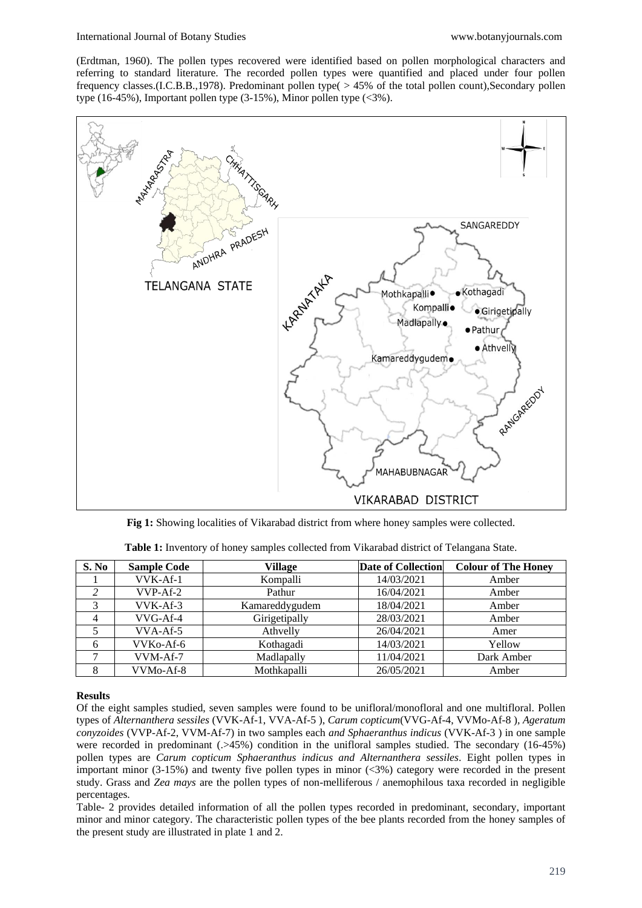(Erdtman, 1960). The pollen types recovered were identified based on pollen morphological characters and referring to standard literature. The recorded pollen types were quantified and placed under four pollen frequency classes.(I.C.B.B.,1978). Predominant pollen type( > 45% of the total pollen count),Secondary pollen type (16-45%), Important pollen type (3-15%), Minor pollen type (<3%).



**Fig 1:** Showing localities of Vikarabad district from where honey samples were collected.

| S. No          | <b>Sample Code</b>     | <b>Village</b> | <b>Date of Collection</b> | <b>Colour of The Honey</b> |
|----------------|------------------------|----------------|---------------------------|----------------------------|
|                | VVK-Af-1               | Kompalli       | 14/03/2021                | Amber                      |
|                | $VVP-Af-2$             | Pathur         | 16/04/2021                | Amber                      |
|                | VVK-Af-3               | Kamareddygudem | 18/04/2021                | Amber                      |
| $\overline{4}$ | VVG-Af-4               | Girigetipally  | 28/03/2021                | Amber                      |
|                | $VVA-Af-5$             | Athvelly       | 26/04/2021                | Amer                       |
| 6              | VVKo-Af-6              | Kothagadi      | 14/03/2021                | Yellow                     |
|                | VVM-Af-7               | Madlapally     | 11/04/2021                | Dark Amber                 |
| 8              | VVM <sub>o</sub> -Af-8 | Mothkapalli    | 26/05/2021                | Amber                      |

**Table 1:** Inventory of honey samples collected from Vikarabad district of Telangana State.

## **Results**

Of the eight samples studied, seven samples were found to be unifloral/monofloral and one multifloral. Pollen types of *Alternanthera sessiles* (VVK-Af-1, VVA-Af-5 ), *Carum copticum*(VVG-Af-4, VVMo-Af-8 )*, Ageratum conyzoides* (VVP-Af-2, VVM-Af-7) in two samples each *and Sphaeranthus indicus* (VVK-Af-3 ) in one sample were recorded in predominant (.>45%) condition in the unifloral samples studied. The secondary (16-45%) pollen types are *Carum copticum Sphaeranthus indicus and Alternanthera sessiles*. Eight pollen types in important minor (3-15%) and twenty five pollen types in minor (<3%) category were recorded in the present study. Grass and *Zea mays* are the pollen types of non-melliferous / anemophilous taxa recorded in negligible percentages.

Table- 2 provides detailed information of all the pollen types recorded in predominant, secondary, important minor and minor category. The characteristic pollen types of the bee plants recorded from the honey samples of the present study are illustrated in plate 1 and 2.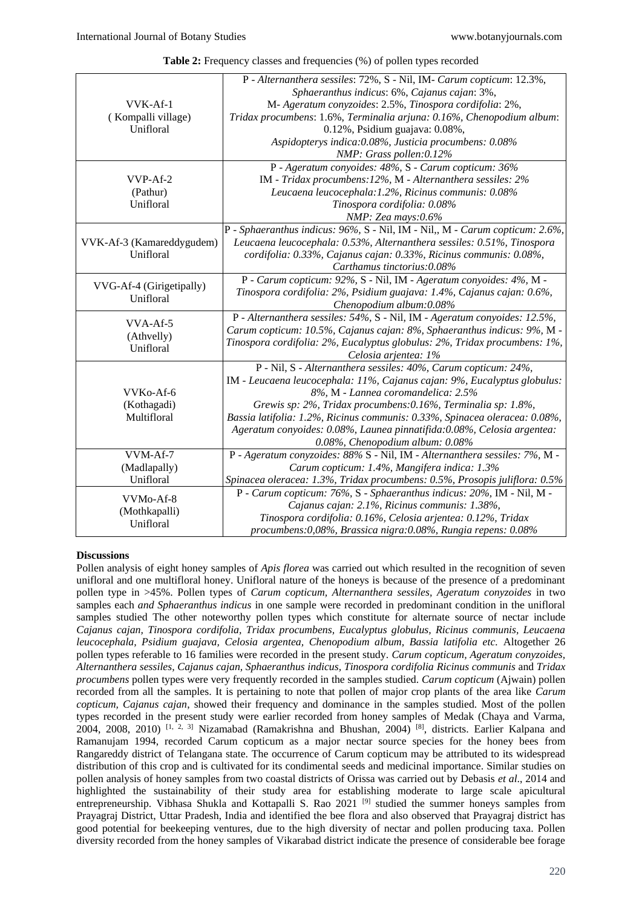| <b>Table 2:</b> Frequency classes and frequencies (%) of pollen types recorded |  |  |  |  |  |  |
|--------------------------------------------------------------------------------|--|--|--|--|--|--|
|--------------------------------------------------------------------------------|--|--|--|--|--|--|

|                           | P - Alternanthera sessiles: 72%, S - Nil, IM- Carum copticum: 12.3%,         |  |  |
|---------------------------|------------------------------------------------------------------------------|--|--|
|                           | Sphaeranthus indicus: 6%, Cajanus cajan: 3%,                                 |  |  |
| VVK-Af-1                  | M- Ageratum conyzoides: 2.5%, Tinospora cordifolia: 2%,                      |  |  |
| (Kompalli village)        | Tridax procumbens: 1.6%, Terminalia arjuna: 0.16%, Chenopodium album:        |  |  |
| Unifloral                 | 0.12%, Psidium guajava: 0.08%,                                               |  |  |
|                           | Aspidopterys indica: 0.08%, Justicia procumbens: 0.08%                       |  |  |
|                           | NMP: Grass pollen:0.12%                                                      |  |  |
|                           | P - Ageratum conyoides: 48%, S - Carum copticum: 36%                         |  |  |
| VVP-Af-2                  | IM - Tridax procumbens: 12%, M - Alternanthera sessiles: 2%                  |  |  |
| (Pathur)                  | Leucaena leucocephala: 1.2%, Ricinus communis: 0.08%                         |  |  |
| Unifloral                 | Tinospora cordifolia: 0.08%                                                  |  |  |
|                           | NMP: Zea mays:0.6%                                                           |  |  |
|                           | P - Sphaeranthus indicus: 96%, S - Nil, IM - Nil,, M - Carum copticum: 2.6%, |  |  |
| VVK-Af-3 (Kamareddygudem) | Leucaena leucocephala: 0.53%, Alternanthera sessiles: 0.51%, Tinospora       |  |  |
| Unifloral                 | cordifolia: 0.33%, Cajanus cajan: 0.33%, Ricinus communis: 0.08%,            |  |  |
|                           | Carthamus tinctorius:0.08%                                                   |  |  |
| VVG-Af-4 (Girigetipally)  | P - Carum copticum: 92%, S - Nil, IM - Ageratum conyoides: 4%, M -           |  |  |
| Unifloral                 | Tinospora cordifolia: 2%, Psidium guajava: 1.4%, Cajanus cajan: 0.6%,        |  |  |
|                           | Chenopodium album:0.08%                                                      |  |  |
| VVA-Af-5                  | P - Alternanthera sessiles: 54%, S - Nil, IM - Ageratum convoides: 12.5%,    |  |  |
| (Athvelly)                | Carum copticum: 10.5%, Cajanus cajan: 8%, Sphaeranthus indicus: 9%, M -      |  |  |
| Unifloral                 | Tinospora cordifolia: 2%, Eucalyptus globulus: 2%, Tridax procumbens: 1%,    |  |  |
|                           | Celosia arjentea: 1%                                                         |  |  |
|                           | P - Nil, S - Alternanthera sessiles: 40%, Carum copticum: 24%,               |  |  |
|                           | IM - Leucaena leucocephala: 11%, Cajanus cajan: 9%, Eucalyptus globulus:     |  |  |
| VVKo-Af-6                 | 8%, M - Lannea coromandelica: 2.5%                                           |  |  |
| (Kothagadi)               | Grewis sp: 2%, Tridax procumbens:0.16%, Terminalia sp: 1.8%,                 |  |  |
| Multifloral               | Bassia latifolia: 1.2%, Ricinus communis: 0.33%, Spinacea oleracea: 0.08%,   |  |  |
|                           | Ageratum conyoides: 0.08%, Launea pinnatifida: 0.08%, Celosia argentea:      |  |  |
|                           | 0.08%, Chenopodium album: 0.08%                                              |  |  |
| VVM-Af-7                  | P - Ageratum conyzoides: 88% S - Nil, IM - Alternanthera sessiles: 7%, M -   |  |  |
| (Madlapally)              | Carum copticum: 1.4%, Mangifera indica: 1.3%                                 |  |  |
| Unifloral                 | Spinacea oleracea: 1.3%, Tridax procumbens: 0.5%, Prosopis juliflora: 0.5%   |  |  |
| VVM <sub>o</sub> -Af-8    | P - Carum copticum: 76%, S - Sphaeranthus indicus: 20%, IM - Nil, M -        |  |  |
| (Mothkapalli)             | Cajanus cajan: 2.1%, Ricinus communis: 1.38%,                                |  |  |
| Unifloral                 | Tinospora cordifolia: 0.16%, Celosia arjentea: 0.12%, Tridax                 |  |  |
|                           | procumbens:0,08%, Brassica nigra:0.08%, Rungia repens: 0.08%                 |  |  |

#### **Discussions**

Pollen analysis of eight honey samples of *Apis florea* was carried out which resulted in the recognition of seven unifloral and one multifloral honey. Unifloral nature of the honeys is because of the presence of a predominant pollen type in >45%. Pollen types of *Carum copticum, Alternanthera sessiles, Ageratum conyzoides* in two samples each *and Sphaeranthus indicus* in one sample were recorded in predominant condition in the unifloral samples studied The other noteworthy pollen types which constitute for alternate source of nectar include *Cajanus cajan, Tinospora cordifolia, Tridax procumbens, Eucalyptus globulus, Ricinus communis, Leucaena leucocephala, Psidium guajava, Celosia argentea, Chenopodium album, Bassia latifolia etc.* Altogether 26 pollen types referable to 16 families were recorded in the present study. *Carum copticum, Ageratum conyzoides, Alternanthera sessiles, Cajanus cajan, Sphaeranthus indicus, Tinospora cordifolia Ricinus communis* and *Tridax procumbens* pollen types were very frequently recorded in the samples studied. *Carum copticum* (Ajwain) pollen recorded from all the samples. It is pertaining to note that pollen of major crop plants of the area like *Carum copticum, Cajanus cajan*, showed their frequency and dominance in the samples studied. Most of the pollen types recorded in the present study were earlier recorded from honey samples of Medak (Chaya and Varma,  $2004$ , 2008, 2010)  $\left[1, 2, 3\right]$  Nizamabad (Ramakrishna and Bhushan, 2004)  $\left[8\right]$ , districts. Earlier Kalpana and Ramanujam 1994, recorded Carum copticum as a major nectar source species for the honey bees from Rangareddy district of Telangana state. The occurrence of Carum copticum may be attributed to its widespread distribution of this crop and is cultivated for its condimental seeds and medicinal importance. Similar studies on pollen analysis of honey samples from two coastal districts of Orissa was carried out by Debasis *et al*., 2014 and highlighted the sustainability of their study area for establishing moderate to large scale apicultural entrepreneurship. Vibhasa Shukla and Kottapalli S. Rao 2021<sup>[9]</sup> studied the summer honeys samples from Prayagraj District, Uttar Pradesh, India and identified the bee flora and also observed that Prayagraj district has good potential for beekeeping ventures, due to the high diversity of nectar and pollen producing taxa. Pollen diversity recorded from the honey samples of Vikarabad district indicate the presence of considerable bee forage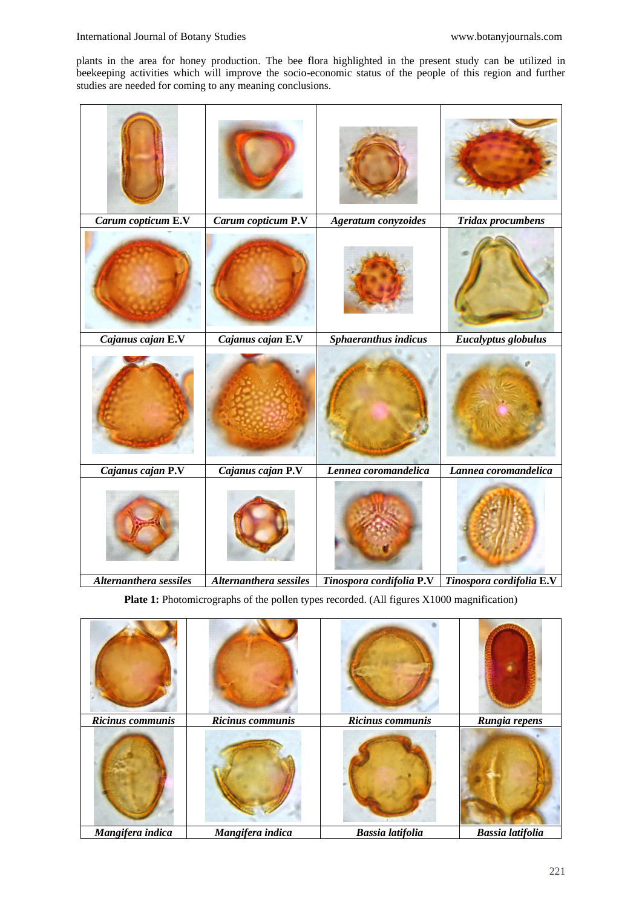plants in the area for honey production. The bee flora highlighted in the present study can be utilized in beekeeping activities which will improve the socio-economic status of the people of this region and further studies are needed for coming to any meaning conclusions.

| Carum copticum E.V     | Carum copticum P.V     | Ageratum conyzoides                 | <b>Tridax procumbens</b> |
|------------------------|------------------------|-------------------------------------|--------------------------|
|                        |                        |                                     |                          |
| Cajanus cajan E.V      | Cajanus cajan E.V      | Sphaeranthus indicus                | Eucalyptus globulus      |
|                        |                        |                                     |                          |
| Cajanus cajan P.V      | Cajanus cajan P.V      | Lennea coromandelica                | Lannea coromandelica     |
|                        |                        |                                     |                          |
| Alternanthera sessiles | Alternanthera sessiles | Tinospora cordifolia <sup>P.V</sup> | Tinospora cordifolia E.V |

Plate 1: Photomicrographs of the pollen types recorded. (All figures X1000 magnification)

| Ricinus communis | Ricinus communis | Ricinus communis        | Rungia repens           |
|------------------|------------------|-------------------------|-------------------------|
|                  |                  |                         |                         |
| Mangifera indica | Mangifera indica | <b>Bassia latifolia</b> | <b>Bassia latifolia</b> |